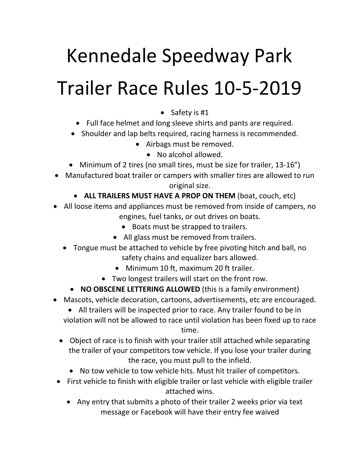## Kennedale Speedway Park Trailer Race Rules 10-5-2019

- Safety is #1
- Full face helmet and long sleeve shirts and pants are required.
- Shoulder and lap belts required, racing harness is recommended.
	- Airbags must be removed.
		- No alcohol allowed.
- Minimum of 2 tires (no small tires, must be size for trailer, 13-16")
- Manufactured boat trailer or campers with smaller tires are allowed to run original size.
	- **ALL TRAILERS MUST HAVE A PROP ON THEM** (boat, couch, etc)
- All loose items and appliances must be removed from inside of campers, no engines, fuel tanks, or out drives on boats.
	- Boats must be strapped to trailers.
	- All glass must be removed from trailers.
	- Tongue must be attached to vehicle by free pivoting hitch and ball, no safety chains and equalizer bars allowed.
		- Minimum 10 ft, maximum 20 ft trailer.
		- Two longest trailers will start on the front row.
		- **NO OBSCENE LETTERING ALLOWED** (this is a family environment)
- Mascots, vehicle decoration, cartoons, advertisements, etc are encouraged.
	- All trailers will be inspected prior to race. Any trailer found to be in violation will not be allowed to race until violation has been fixed up to race time.
	- Object of race is to finish with your trailer still attached while separating the trailer of your competitors tow vehicle. If you lose your trailer during the race, you must pull to the infield.
		- No tow vehicle to tow vehicle hits. Must hit trailer of competitors.
- First vehicle to finish with eligible trailer or last vehicle with eligible trailer attached wins.
	- Any entry that submits a photo of their trailer 2 weeks prior via text message or Facebook will have their entry fee waived